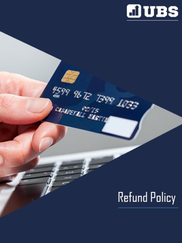

## **Refund Policy**

N599 96 T2 T399 1033